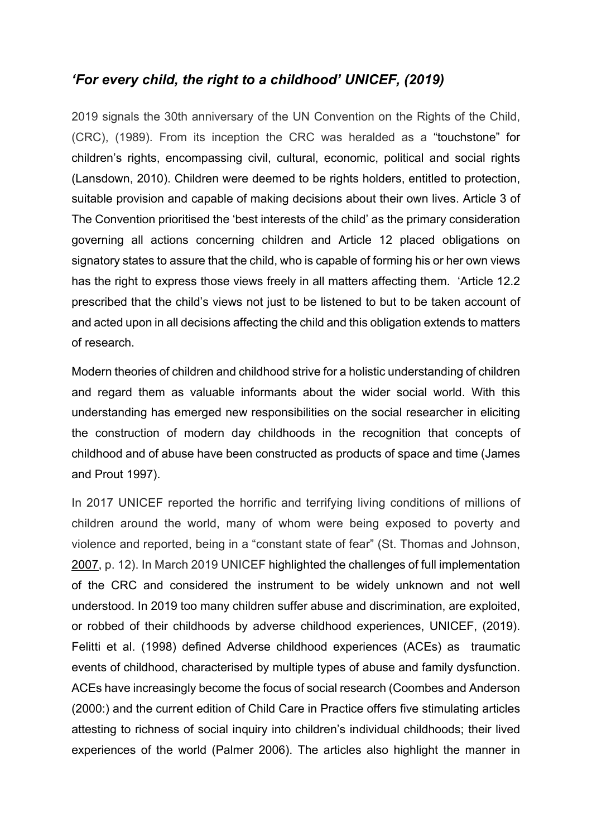## *'For every child, the right to a childhood' UNICEF, (2019)*

2019 signals the 30th anniversary of the UN Convention on the Rights of the Child, (CRC), (1989). From its inception the CRC was heralded as a "touchstone" for children's rights, encompassing civil, cultural, economic, political and social rights (Lansdown, 2010). Children were deemed to be rights holders, entitled to protection, suitable provision and capable of making decisions about their own lives. Article 3 of The Convention prioritised the 'best interests of the child' as the primary consideration governing all actions concerning children and Article 12 placed obligations on signatory states to assure that the child, who is capable of forming his or her own views has the right to express those views freely in all matters affecting them. 'Article 12.2 prescribed that the child's views not just to be listened to but to be taken account of and acted upon in all decisions affecting the child and this obligation extends to matters of research.

Modern theories of children and childhood strive for a holistic understanding of children and regard them as valuable informants about the wider social world. With this understanding has emerged new responsibilities on the social researcher in eliciting the construction of modern day childhoods in the recognition that concepts of childhood and of abuse have been constructed as products of space and time (James and Prout 1997).

In 2017 UNICEF reported the horrific and terrifying living conditions of millions of children around the world, many of whom were being exposed to poverty and violence and reported, being in a "constant state of fear" (St. Thomas and Johnson, [2007,](https://www.nature.com/articles/s41599-019-0259-0#ref-CR92) p. 12). In March 2019 UNICEF highlighted the challenges of full implementation of the CRC and considered the instrument to be widely unknown and not well understood. In 2019 too many children suffer abuse and discrimination, are exploited, or robbed of their childhoods by adverse childhood experiences, UNICEF, (2019). Felitti et al. (1998) defined [Adverse childhood experiences](https://www.sciencedirect.com/topics/social-sciences/adverse-childhood-experiences) (ACEs) as [traumatic](https://www.sciencedirect.com/topics/psychology/traumatic-event)  [events](https://www.sciencedirect.com/topics/psychology/traumatic-event) of childhood, characterised by multiple types of abuse and family dysfunction. ACEs have increasingly become the focus of social research (Coombes and Anderson (2000:) and the current edition of Child Care in Practice offers five stimulating articles attesting to richness of social inquiry into children's individual childhoods; their lived experiences of the world (Palmer 2006). The articles also highlight the manner in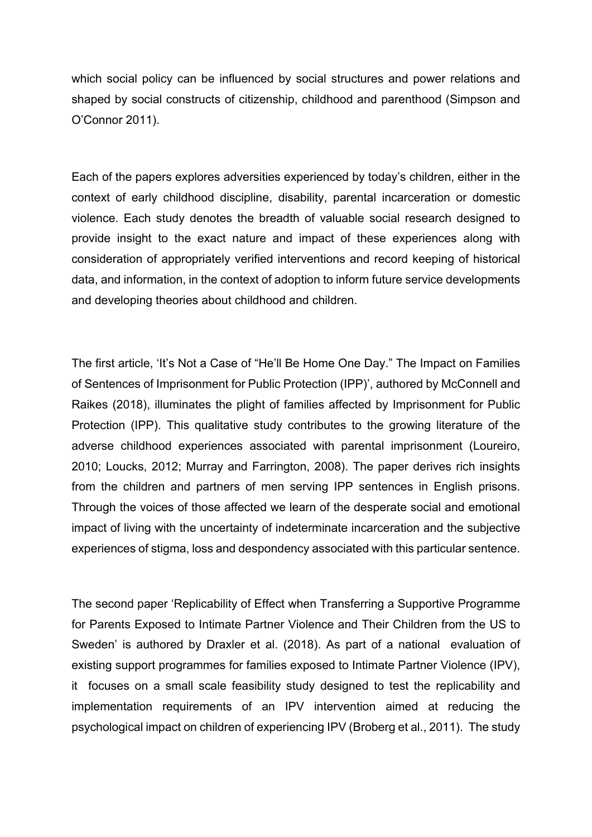which social policy can be influenced by social structures and power relations and shaped by social constructs of citizenship, childhood and parenthood (Simpson and O'Connor 2011).

Each of the papers explores adversities experienced by today's children, either in the context of early childhood discipline, disability, parental incarceration or domestic violence. Each study denotes the breadth of valuable social research designed to provide insight to the exact nature and impact of these experiences along with consideration of appropriately verified interventions and record keeping of historical data, and information, in the context of adoption to inform future service developments and developing theories about childhood and children.

The first article, 'It's Not a Case of "He'll Be Home One Day." The Impact on Families of Sentences of Imprisonment for Public Protection (IPP)', authored by McConnell and Raikes (2018), illuminates the plight of families affected by Imprisonment for Public Protection (IPP). This qualitative study contributes to the growing literature of the adverse childhood experiences associated with parental imprisonment (Loureiro, 2010; Loucks, 2012; Murray and Farrington, 2008). The paper derives rich insights from the children and partners of men serving IPP sentences in English prisons. Through the voices of those affected we learn of the desperate social and emotional impact of living with the uncertainty of indeterminate incarceration and the subjective experiences of stigma, loss and despondency associated with this particular sentence.

The second paper 'Replicability of Effect when Transferring a Supportive Programme for Parents Exposed to Intimate Partner Violence and Their Children from the US to Sweden' is authored by Draxler et al. (2018). As part of a national evaluation of existing support programmes for families exposed to Intimate Partner Violence (IPV), it focuses on a small scale feasibility study designed to test the replicability and implementation requirements of an IPV intervention aimed at reducing the psychological impact on children of experiencing IPV (Broberg et al., 2011). The study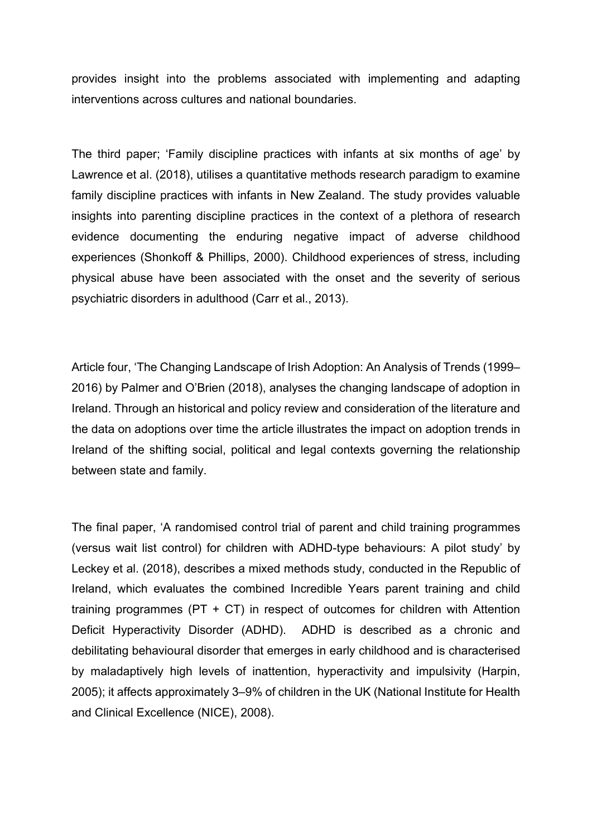provides insight into the problems associated with implementing and adapting interventions across cultures and national boundaries.

The third paper; 'Family discipline practices with infants at six months of age' by Lawrence et al. (2018), utilises a quantitative methods research paradigm to examine family discipline practices with infants in New Zealand. The study provides valuable insights into parenting discipline practices in the context of a plethora of research evidence documenting the enduring negative impact of adverse childhood experiences (Shonkoff & Phillips, 2000). Childhood experiences of stress, including physical abuse have been associated with the onset and the severity of serious psychiatric disorders in adulthood (Carr et al., 2013).

Article four, 'The Changing Landscape of Irish Adoption: An Analysis of Trends (1999– 2016) by Palmer and O'Brien (2018), analyses the changing landscape of adoption in Ireland. Through an historical and policy review and consideration of the literature and the data on adoptions over time the article illustrates the impact on adoption trends in Ireland of the shifting social, political and legal contexts governing the relationship between state and family.

The final paper, 'A randomised control trial of parent and child training programmes (versus wait list control) for children with ADHD-type behaviours: A pilot study' by Leckey et al. (2018), describes a mixed methods study, conducted in the Republic of Ireland, which evaluates the combined Incredible Years parent training and child training programmes (PT + CT) in respect of outcomes for children with Attention Deficit Hyperactivity Disorder (ADHD). ADHD is described as a chronic and debilitating behavioural disorder that emerges in early childhood and is characterised by maladaptively high levels of inattention, hyperactivity and impulsivity (Harpin, 2005); it affects approximately 3–9% of children in the UK (National Institute for Health and Clinical Excellence (NICE), 2008).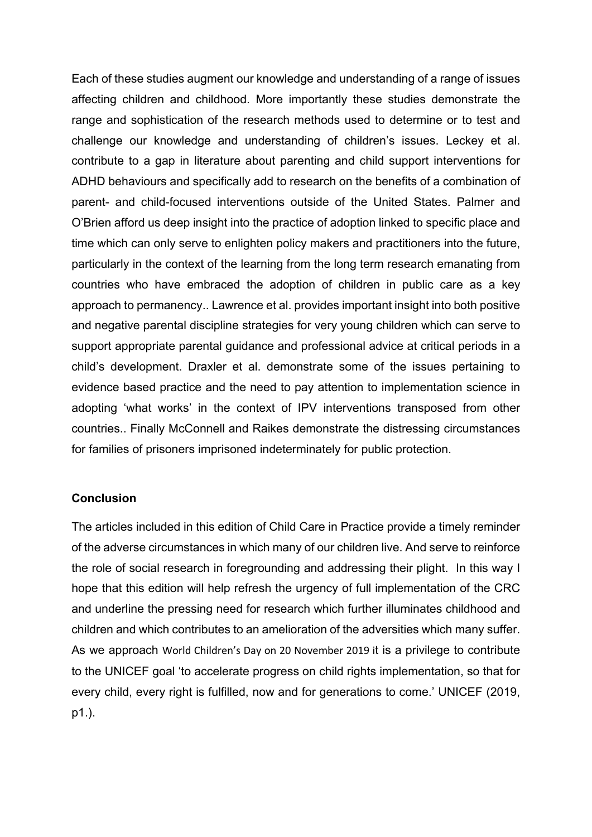Each of these studies augment our knowledge and understanding of a range of issues affecting children and childhood. More importantly these studies demonstrate the range and sophistication of the research methods used to determine or to test and challenge our knowledge and understanding of children's issues. Leckey et al. contribute to a gap in literature about parenting and child support interventions for ADHD behaviours and specifically add to research on the benefits of a combination of parent- and child-focused interventions outside of the United States. Palmer and O'Brien afford us deep insight into the practice of adoption linked to specific place and time which can only serve to enlighten policy makers and practitioners into the future, particularly in the context of the learning from the long term research emanating from countries who have embraced the adoption of children in public care as a key approach to permanency.. Lawrence et al. provides important insight into both positive and negative parental discipline strategies for very young children which can serve to support appropriate parental guidance and professional advice at critical periods in a child's development. Draxler et al. demonstrate some of the issues pertaining to evidence based practice and the need to pay attention to implementation science in adopting 'what works' in the context of IPV interventions transposed from other countries.. Finally McConnell and Raikes demonstrate the distressing circumstances for families of prisoners imprisoned indeterminately for public protection.

## **Conclusion**

The articles included in this edition of Child Care in Practice provide a timely reminder of the adverse circumstances in which many of our children live. And serve to reinforce the role of social research in foregrounding and addressing their plight. In this way I hope that this edition will help refresh the urgency of full implementation of the CRC and underline the pressing need for research which further illuminates childhood and children and which contributes to an amelioration of the adversities which many suffer. As we approach World Children's Day on 20 November 2019 it is a privilege to contribute to the UNICEF goal 'to accelerate progress on child rights implementation, so that for every child, every right is fulfilled, now and for generations to come.' UNICEF (2019, p1.).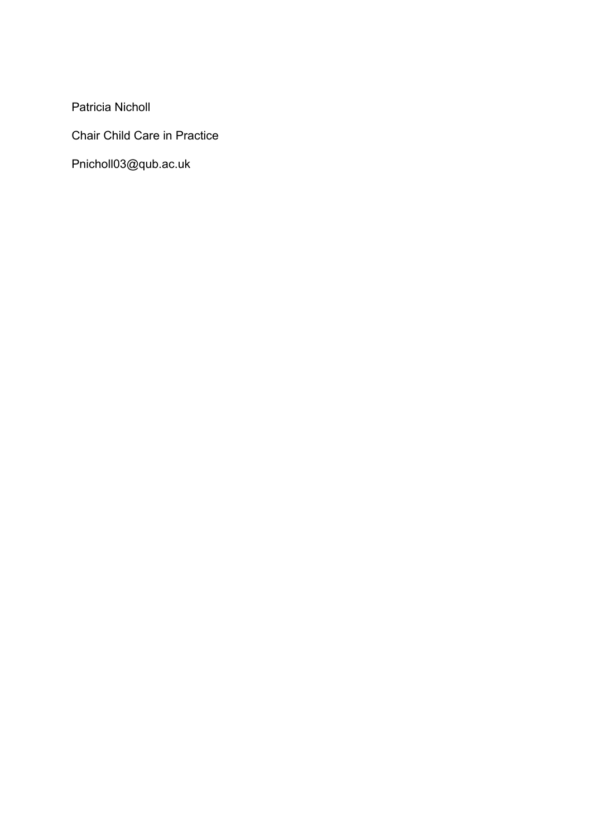Patricia Nicholl

Chair Child Care in Practice

Pnicholl03@qub.ac.uk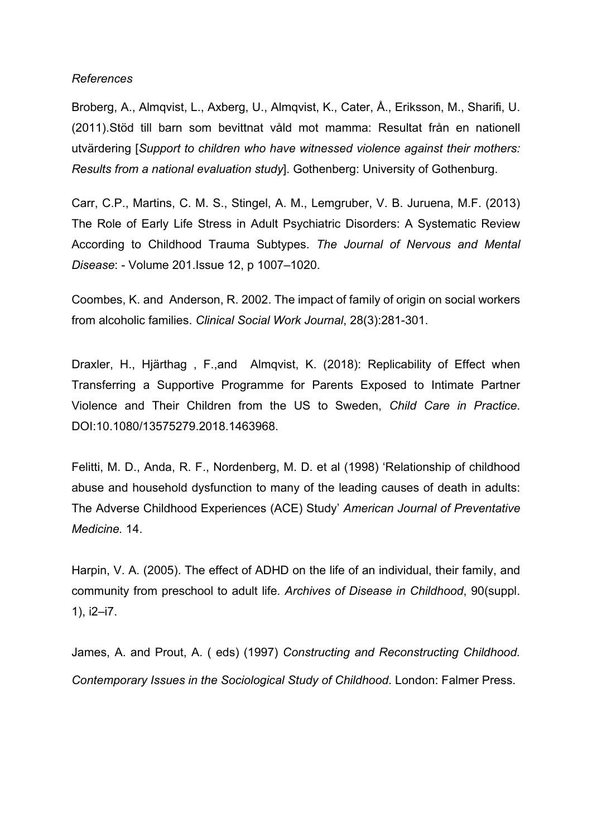## *References*

Broberg, A., Almqvist, L., Axberg, U., Almqvist, K., Cater, Å., Eriksson, M., Sharifi, U. (2011).Stöd till barn som bevittnat våld mot mamma: Resultat från en nationell utvärdering [*Support to children who have witnessed violence against their mothers: Results from a national evaluation study*]. Gothenberg: University of Gothenburg.

Carr, C.P., Martins, C. M. S., Stingel, A. M., Lemgruber, V. B. Juruena, M.F. (2013) The Role of Early Life Stress in Adult Psychiatric Disorders: A Systematic Review According to Childhood Trauma Subtypes. *The Journal of Nervous and Mental Disease*: - Volume 201.Issue 12, p 1007–1020.

Coombes, K. and Anderson, R. 2002. The impact of family of origin on social workers from alcoholic families. *Clinical Social Work Journal*, 28(3):281-301.

Draxler, H., Hjärthag , F.,and Almqvist, K. (2018): Replicability of Effect when Transferring a Supportive Programme for Parents Exposed to Intimate Partner Violence and Their Children from the US to Sweden, *Child Care in Practice*. DOI:10.1080/13575279.2018.1463968.

Felitti, M. D., Anda, R. F., Nordenberg, M. D. et al (1998) 'Relationship of childhood abuse and household dysfunction to many of the leading causes of death in adults: The Adverse Childhood Experiences (ACE) Study' *American Journal of Preventative Medicine.* 14.

Harpin, V. A. (2005). The effect of ADHD on the life of an individual, their family, and community from preschool to adult life*. Archives of Disease in Childhood*, 90(suppl. 1), i2–i7.

James, A. and Prout, A. ( eds) (1997) *Constructing and Reconstructing Childhood. Contemporary Issues in the Sociological Study of Childhood*. London: Falmer Press.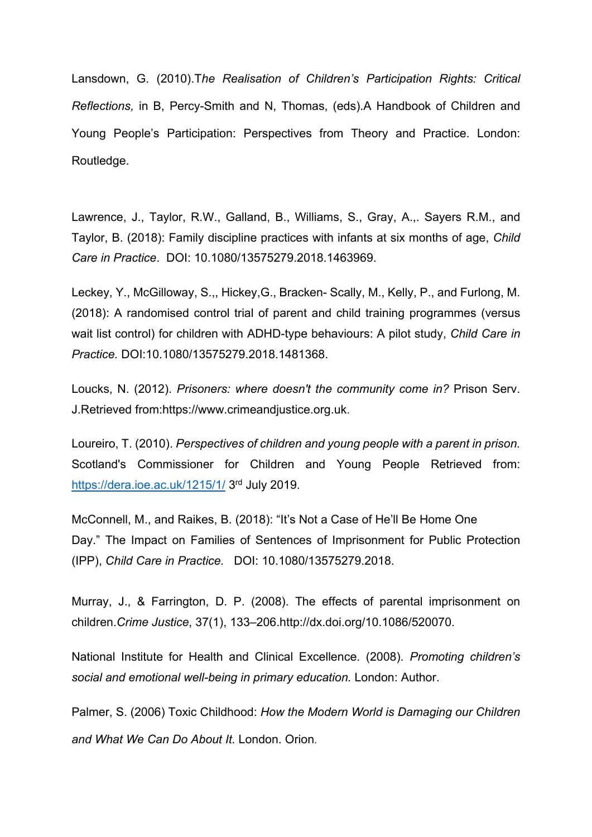Lansdown, G. (2010).T*he Realisation of Children's Participation Rights: Critical Reflections,* in B, Percy-Smith and N, Thomas, (eds).A Handbook of Children and Young People's Participation: Perspectives from Theory and Practice. London: Routledge.

Lawrence, J., Taylor, R.W., Galland, B., Williams, S., Gray, A.,. Sayers R.M., and Taylor, B. (2018): Family discipline practices with infants at six months of age, *Child Care in Practice*. DOI: 10.1080/13575279.2018.1463969.

Leckey, Y., McGilloway, S.,, Hickey,G., Bracken- Scally, M., Kelly, P., and Furlong, M. (2018): A randomised control trial of parent and child training programmes (versus wait list control) for children with ADHD-type behaviours: A pilot study, *Child Care in Practice.* DOI:10.1080/13575279.2018.1481368.

Loucks, N. (2012). *Prisoners: where doesn't the community come in?* Prison Serv. J.Retrieved from:https://www.crimeandjustice.org.uk.

Loureiro, T. (2010). *Perspectives of children and young people with a parent in prison.* Scotland's Commissioner for Children and Young People Retrieved from: <https://dera.ioe.ac.uk/1215/1/> 3rd July 2019.

McConnell, M., and Raikes, B. (2018): "It's Not a Case of He'll Be Home One Day." The Impact on Families of Sentences of Imprisonment for Public Protection (IPP), *Child Care in Practice.* DOI: 10.1080/13575279.2018.

Murray, J., & Farrington, D. P. (2008). The effects of parental imprisonment on children.*Crime Justice*, 37(1), 133–206.http://dx.doi.org/10.1086/520070.

National Institute for Health and Clinical Excellence. (2008). *Promoting children's social and emotional well-being in primary education.* London: Author.

Palmer, S. (2006) Toxic Childhood: *How the Modern World is Damaging our Children and What We Can Do About It.* London. Orion.